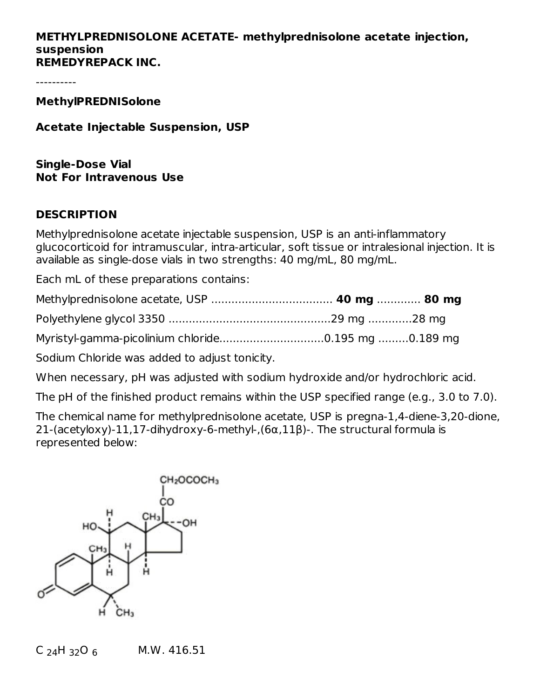#### **METHYLPREDNISOLONE ACETATE- methylprednisolone acetate injection, suspension REMEDYREPACK INC.**

----------

**MethylPREDNISolone**

**Acetate Injectable Suspension, USP**

**Single-Dose Vial Not For Intravenous Use**

#### **DESCRIPTION**

Methylprednisolone acetate injectable suspension, USP is an anti-inflammatory glucocorticoid for intramuscular, intra-articular, soft tissue or intralesional injection. It is available as single-dose vials in two strengths: 40 mg/mL, 80 mg/mL.

Each mL of these preparations contains:

Methylprednisolone acetate, USP .................................... **40 mg** ............. **80 mg**

Polyethylene glycol 3350 ................................................29 mg .............28 mg

Myristyl-gamma-picolinium chloride...............................0.195 mg .........0.189 mg

Sodium Chloride was added to adjust tonicity.

When necessary, pH was adjusted with sodium hydroxide and/or hydrochloric acid.

The pH of the finished product remains within the USP specified range (e.g., 3.0 to 7.0).

The chemical name for methylprednisolone acetate, USP is pregna-1,4-diene-3,20-dione, 21-(acetyloxy)-11,17-dihydroxy-6-methyl-,( $6\alpha$ ,11 $\beta$ )-. The structural formula is represented below:

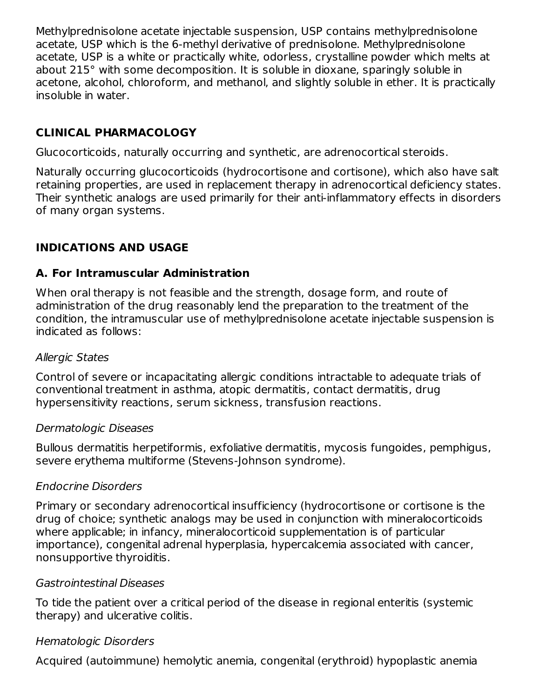Methylprednisolone acetate injectable suspension, USP contains methylprednisolone acetate, USP which is the 6-methyl derivative of prednisolone. Methylprednisolone acetate, USP is a white or practically white, odorless, crystalline powder which melts at about 215° with some decomposition. It is soluble in dioxane, sparingly soluble in acetone, alcohol, chloroform, and methanol, and slightly soluble in ether. It is practically insoluble in water.

## **CLINICAL PHARMACOLOGY**

Glucocorticoids, naturally occurring and synthetic, are adrenocortical steroids.

Naturally occurring glucocorticoids (hydrocortisone and cortisone), which also have salt retaining properties, are used in replacement therapy in adrenocortical deficiency states. Their synthetic analogs are used primarily for their anti-inflammatory effects in disorders of many organ systems.

#### **INDICATIONS AND USAGE**

#### **A. For Intramuscular Administration**

When oral therapy is not feasible and the strength, dosage form, and route of administration of the drug reasonably lend the preparation to the treatment of the condition, the intramuscular use of methylprednisolone acetate injectable suspension is indicated as follows:

#### Allergic States

Control of severe or incapacitating allergic conditions intractable to adequate trials of conventional treatment in asthma, atopic dermatitis, contact dermatitis, drug hypersensitivity reactions, serum sickness, transfusion reactions.

#### Dermatologic Diseases

Bullous dermatitis herpetiformis, exfoliative dermatitis, mycosis fungoides, pemphigus, severe erythema multiforme (Stevens-Johnson syndrome).

#### Endocrine Disorders

Primary or secondary adrenocortical insufficiency (hydrocortisone or cortisone is the drug of choice; synthetic analogs may be used in conjunction with mineralocorticoids where applicable; in infancy, mineralocorticoid supplementation is of particular importance), congenital adrenal hyperplasia, hypercalcemia associated with cancer, nonsupportive thyroiditis.

#### Gastrointestinal Diseases

To tide the patient over a critical period of the disease in regional enteritis (systemic therapy) and ulcerative colitis.

#### Hematologic Disorders

Acquired (autoimmune) hemolytic anemia, congenital (erythroid) hypoplastic anemia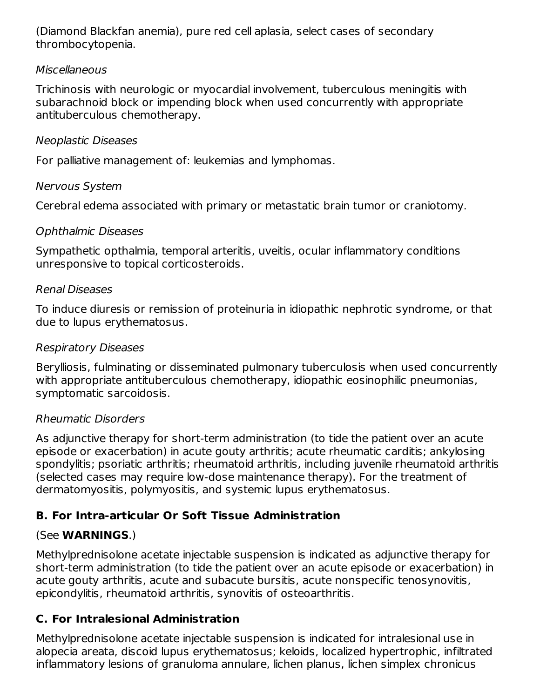(Diamond Blackfan anemia), pure red cell aplasia, select cases of secondary thrombocytopenia.

#### **Miscellaneous**

Trichinosis with neurologic or myocardial involvement, tuberculous meningitis with subarachnoid block or impending block when used concurrently with appropriate antituberculous chemotherapy.

#### Neoplastic Diseases

For palliative management of: leukemias and lymphomas.

## Nervous System

Cerebral edema associated with primary or metastatic brain tumor or craniotomy.

## Ophthalmic Diseases

Sympathetic opthalmia, temporal arteritis, uveitis, ocular inflammatory conditions unresponsive to topical corticosteroids.

#### Renal Diseases

To induce diuresis or remission of proteinuria in idiopathic nephrotic syndrome, or that due to lupus erythematosus.

#### Respiratory Diseases

Berylliosis, fulminating or disseminated pulmonary tuberculosis when used concurrently with appropriate antituberculous chemotherapy, idiopathic eosinophilic pneumonias, symptomatic sarcoidosis.

## Rheumatic Disorders

As adjunctive therapy for short-term administration (to tide the patient over an acute episode or exacerbation) in acute gouty arthritis; acute rheumatic carditis; ankylosing spondylitis; psoriatic arthritis; rheumatoid arthritis, including juvenile rheumatoid arthritis (selected cases may require low-dose maintenance therapy). For the treatment of dermatomyositis, polymyositis, and systemic lupus erythematosus.

## **B. For Intra-articular Or Soft Tissue Administration**

## (See **WARNINGS**.)

Methylprednisolone acetate injectable suspension is indicated as adjunctive therapy for short-term administration (to tide the patient over an acute episode or exacerbation) in acute gouty arthritis, acute and subacute bursitis, acute nonspecific tenosynovitis, epicondylitis, rheumatoid arthritis, synovitis of osteoarthritis.

## **C. For Intralesional Administration**

Methylprednisolone acetate injectable suspension is indicated for intralesional use in alopecia areata, discoid lupus erythematosus; keloids, localized hypertrophic, infiltrated inflammatory lesions of granuloma annulare, lichen planus, lichen simplex chronicus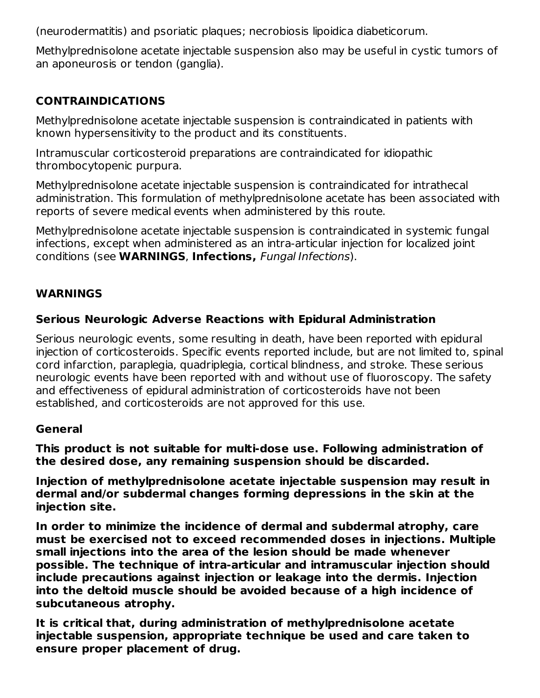(neurodermatitis) and psoriatic plaques; necrobiosis lipoidica diabeticorum.

Methylprednisolone acetate injectable suspension also may be useful in cystic tumors of an aponeurosis or tendon (ganglia).

## **CONTRAINDICATIONS**

Methylprednisolone acetate injectable suspension is contraindicated in patients with known hypersensitivity to the product and its constituents.

Intramuscular corticosteroid preparations are contraindicated for idiopathic thrombocytopenic purpura.

Methylprednisolone acetate injectable suspension is contraindicated for intrathecal administration. This formulation of methylprednisolone acetate has been associated with reports of severe medical events when administered by this route.

Methylprednisolone acetate injectable suspension is contraindicated in systemic fungal infections, except when administered as an intra-articular injection for localized joint conditions (see **WARNINGS**, **Infections,** Fungal Infections).

#### **WARNINGS**

#### **Serious Neurologic Adverse Reactions with Epidural Administration**

Serious neurologic events, some resulting in death, have been reported with epidural injection of corticosteroids. Specific events reported include, but are not limited to, spinal cord infarction, paraplegia, quadriplegia, cortical blindness, and stroke. These serious neurologic events have been reported with and without use of fluoroscopy. The safety and effectiveness of epidural administration of corticosteroids have not been established, and corticosteroids are not approved for this use.

#### **General**

**This product is not suitable for multi-dose use. Following administration of the desired dose, any remaining suspension should be discarded.**

**Injection of methylprednisolone acetate injectable suspension may result in dermal and/or subdermal changes forming depressions in the skin at the injection site.**

**In order to minimize the incidence of dermal and subdermal atrophy, care must be exercised not to exceed recommended doses in injections. Multiple small injections into the area of the lesion should be made whenever possible. The technique of intra-articular and intramuscular injection should include precautions against injection or leakage into the dermis. Injection into the deltoid muscle should be avoided because of a high incidence of subcutaneous atrophy.**

**It is critical that, during administration of methylprednisolone acetate injectable suspension, appropriate technique be used and care taken to ensure proper placement of drug.**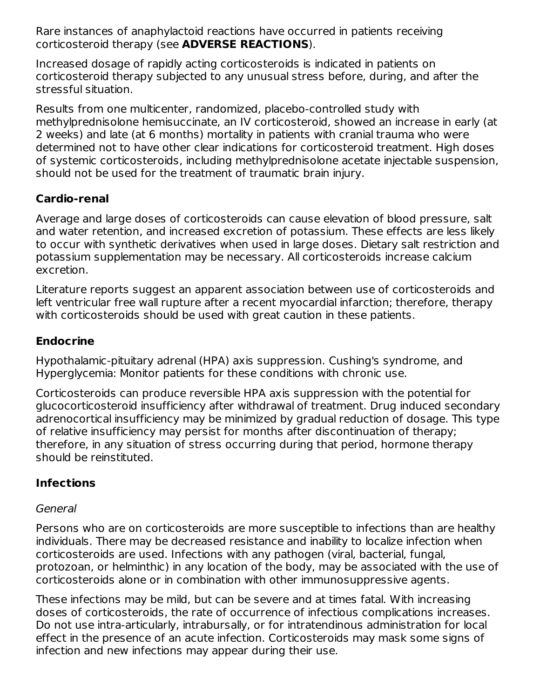Rare instances of anaphylactoid reactions have occurred in patients receiving corticosteroid therapy (see **ADVERSE REACTIONS**).

Increased dosage of rapidly acting corticosteroids is indicated in patients on corticosteroid therapy subjected to any unusual stress before, during, and after the stressful situation.

Results from one multicenter, randomized, placebo-controlled study with methylprednisolone hemisuccinate, an IV corticosteroid, showed an increase in early (at 2 weeks) and late (at 6 months) mortality in patients with cranial trauma who were determined not to have other clear indications for corticosteroid treatment. High doses of systemic corticosteroids, including methylprednisolone acetate injectable suspension, should not be used for the treatment of traumatic brain injury.

## **Cardio-renal**

Average and large doses of corticosteroids can cause elevation of blood pressure, salt and water retention, and increased excretion of potassium. These effects are less likely to occur with synthetic derivatives when used in large doses. Dietary salt restriction and potassium supplementation may be necessary. All corticosteroids increase calcium excretion.

Literature reports suggest an apparent association between use of corticosteroids and left ventricular free wall rupture after a recent myocardial infarction; therefore, therapy with corticosteroids should be used with great caution in these patients.

## **Endocrine**

Hypothalamic-pituitary adrenal (HPA) axis suppression. Cushing's syndrome, and Hyperglycemia: Monitor patients for these conditions with chronic use.

Corticosteroids can produce reversible HPA axis suppression with the potential for glucocorticosteroid insufficiency after withdrawal of treatment. Drug induced secondary adrenocortical insufficiency may be minimized by gradual reduction of dosage. This type of relative insufficiency may persist for months after discontinuation of therapy; therefore, in any situation of stress occurring during that period, hormone therapy should be reinstituted.

## **Infections**

## General

Persons who are on corticosteroids are more susceptible to infections than are healthy individuals. There may be decreased resistance and inability to localize infection when corticosteroids are used. Infections with any pathogen (viral, bacterial, fungal, protozoan, or helminthic) in any location of the body, may be associated with the use of corticosteroids alone or in combination with other immunosuppressive agents.

These infections may be mild, but can be severe and at times fatal. With increasing doses of corticosteroids, the rate of occurrence of infectious complications increases. Do not use intra-articularly, intrabursally, or for intratendinous administration for local effect in the presence of an acute infection. Corticosteroids may mask some signs of infection and new infections may appear during their use.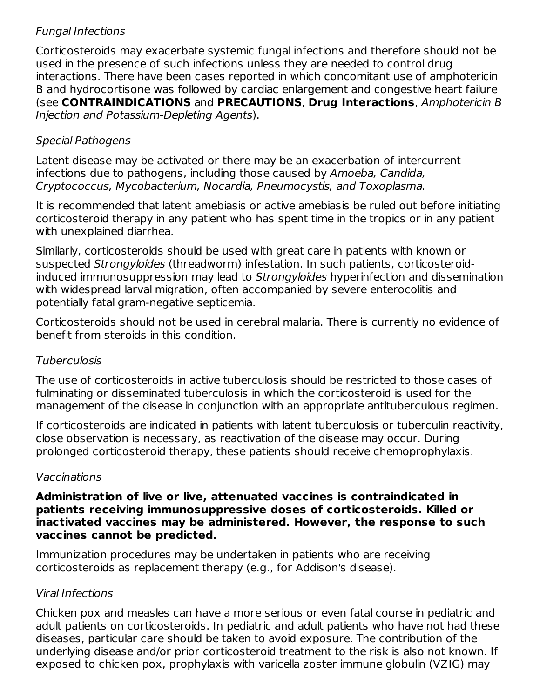## Fungal Infections

Corticosteroids may exacerbate systemic fungal infections and therefore should not be used in the presence of such infections unless they are needed to control drug interactions. There have been cases reported in which concomitant use of amphotericin B and hydrocortisone was followed by cardiac enlargement and congestive heart failure (see **CONTRAINDICATIONS** and **PRECAUTIONS**, **Drug Interactions**, Amphotericin B Injection and Potassium-Depleting Agents).

## Special Pathogens

Latent disease may be activated or there may be an exacerbation of intercurrent infections due to pathogens, including those caused by Amoeba, Candida, Cryptococcus, Mycobacterium, Nocardia, Pneumocystis, and Toxoplasma.

It is recommended that latent amebiasis or active amebiasis be ruled out before initiating corticosteroid therapy in any patient who has spent time in the tropics or in any patient with unexplained diarrhea.

Similarly, corticosteroids should be used with great care in patients with known or suspected Strongyloides (threadworm) infestation. In such patients, corticosteroidinduced immunosuppression may lead to Strongyloides hyperinfection and dissemination with widespread larval migration, often accompanied by severe enterocolitis and potentially fatal gram-negative septicemia.

Corticosteroids should not be used in cerebral malaria. There is currently no evidence of benefit from steroids in this condition.

## Tuberculosis

The use of corticosteroids in active tuberculosis should be restricted to those cases of fulminating or disseminated tuberculosis in which the corticosteroid is used for the management of the disease in conjunction with an appropriate antituberculous regimen.

If corticosteroids are indicated in patients with latent tuberculosis or tuberculin reactivity, close observation is necessary, as reactivation of the disease may occur. During prolonged corticosteroid therapy, these patients should receive chemoprophylaxis.

## Vaccinations

#### **Administration of live or live, attenuated vaccines is contraindicated in patients receiving immunosuppressive doses of corticosteroids. Killed or inactivated vaccines may be administered. However, the response to such vaccines cannot be predicted.**

Immunization procedures may be undertaken in patients who are receiving corticosteroids as replacement therapy (e.g., for Addison's disease).

## Viral Infections

Chicken pox and measles can have a more serious or even fatal course in pediatric and adult patients on corticosteroids. In pediatric and adult patients who have not had these diseases, particular care should be taken to avoid exposure. The contribution of the underlying disease and/or prior corticosteroid treatment to the risk is also not known. If exposed to chicken pox, prophylaxis with varicella zoster immune globulin (VZIG) may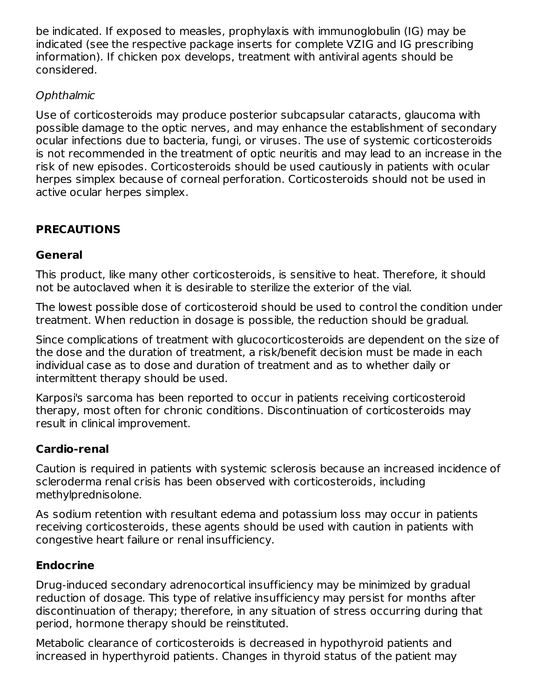be indicated. If exposed to measles, prophylaxis with immunoglobulin (IG) may be indicated (see the respective package inserts for complete VZIG and IG prescribing information). If chicken pox develops, treatment with antiviral agents should be considered.

## **Ophthalmic**

Use of corticosteroids may produce posterior subcapsular cataracts, glaucoma with possible damage to the optic nerves, and may enhance the establishment of secondary ocular infections due to bacteria, fungi, or viruses. The use of systemic corticosteroids is not recommended in the treatment of optic neuritis and may lead to an increase in the risk of new episodes. Corticosteroids should be used cautiously in patients with ocular herpes simplex because of corneal perforation. Corticosteroids should not be used in active ocular herpes simplex.

## **PRECAUTIONS**

## **General**

This product, like many other corticosteroids, is sensitive to heat. Therefore, it should not be autoclaved when it is desirable to sterilize the exterior of the vial.

The lowest possible dose of corticosteroid should be used to control the condition under treatment. When reduction in dosage is possible, the reduction should be gradual.

Since complications of treatment with glucocorticosteroids are dependent on the size of the dose and the duration of treatment, a risk/benefit decision must be made in each individual case as to dose and duration of treatment and as to whether daily or intermittent therapy should be used.

Karposi's sarcoma has been reported to occur in patients receiving corticosteroid therapy, most often for chronic conditions. Discontinuation of corticosteroids may result in clinical improvement.

## **Cardio-renal**

Caution is required in patients with systemic sclerosis because an increased incidence of scleroderma renal crisis has been observed with corticosteroids, including methylprednisolone.

As sodium retention with resultant edema and potassium loss may occur in patients receiving corticosteroids, these agents should be used with caution in patients with congestive heart failure or renal insufficiency.

## **Endocrine**

Drug-induced secondary adrenocortical insufficiency may be minimized by gradual reduction of dosage. This type of relative insufficiency may persist for months after discontinuation of therapy; therefore, in any situation of stress occurring during that period, hormone therapy should be reinstituted.

Metabolic clearance of corticosteroids is decreased in hypothyroid patients and increased in hyperthyroid patients. Changes in thyroid status of the patient may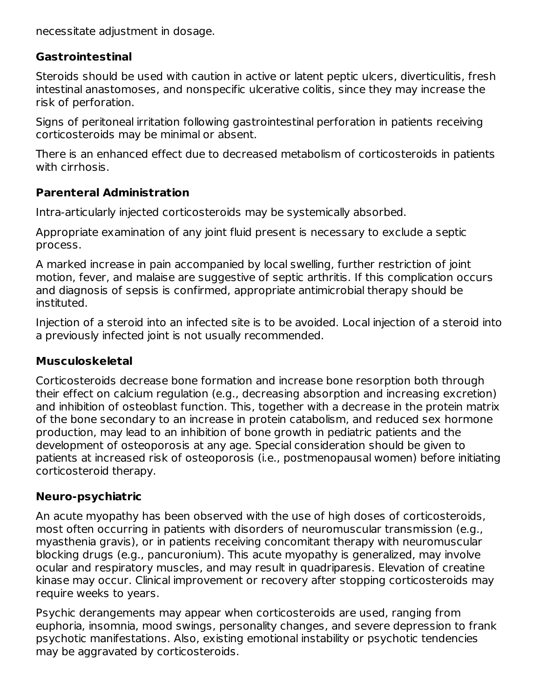necessitate adjustment in dosage.

#### **Gastrointestinal**

Steroids should be used with caution in active or latent peptic ulcers, diverticulitis, fresh intestinal anastomoses, and nonspecific ulcerative colitis, since they may increase the risk of perforation.

Signs of peritoneal irritation following gastrointestinal perforation in patients receiving corticosteroids may be minimal or absent.

There is an enhanced effect due to decreased metabolism of corticosteroids in patients with cirrhosis.

#### **Parenteral Administration**

Intra-articularly injected corticosteroids may be systemically absorbed.

Appropriate examination of any joint fluid present is necessary to exclude a septic process.

A marked increase in pain accompanied by local swelling, further restriction of joint motion, fever, and malaise are suggestive of septic arthritis. If this complication occurs and diagnosis of sepsis is confirmed, appropriate antimicrobial therapy should be instituted.

Injection of a steroid into an infected site is to be avoided. Local injection of a steroid into a previously infected joint is not usually recommended.

#### **Musculoskeletal**

Corticosteroids decrease bone formation and increase bone resorption both through their effect on calcium regulation (e.g., decreasing absorption and increasing excretion) and inhibition of osteoblast function. This, together with a decrease in the protein matrix of the bone secondary to an increase in protein catabolism, and reduced sex hormone production, may lead to an inhibition of bone growth in pediatric patients and the development of osteoporosis at any age. Special consideration should be given to patients at increased risk of osteoporosis (i.e., postmenopausal women) before initiating corticosteroid therapy.

#### **Neuro-psychiatric**

An acute myopathy has been observed with the use of high doses of corticosteroids, most often occurring in patients with disorders of neuromuscular transmission (e.g., myasthenia gravis), or in patients receiving concomitant therapy with neuromuscular blocking drugs (e.g., pancuronium). This acute myopathy is generalized, may involve ocular and respiratory muscles, and may result in quadriparesis. Elevation of creatine kinase may occur. Clinical improvement or recovery after stopping corticosteroids may require weeks to years.

Psychic derangements may appear when corticosteroids are used, ranging from euphoria, insomnia, mood swings, personality changes, and severe depression to frank psychotic manifestations. Also, existing emotional instability or psychotic tendencies may be aggravated by corticosteroids.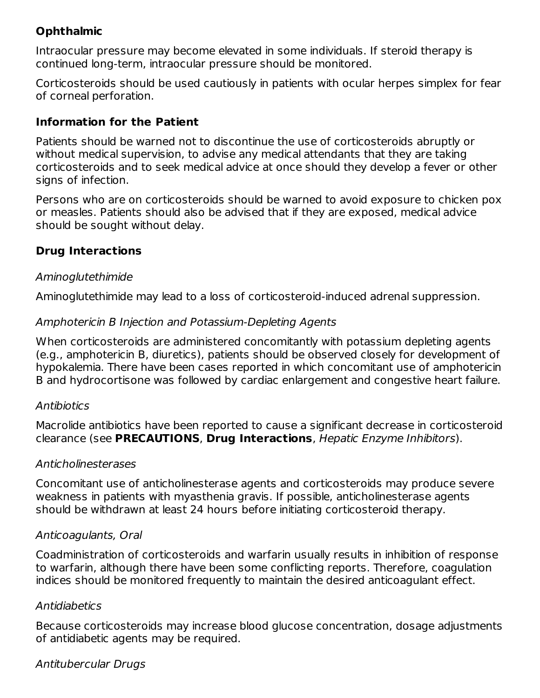## **Ophthalmic**

Intraocular pressure may become elevated in some individuals. If steroid therapy is continued long-term, intraocular pressure should be monitored.

Corticosteroids should be used cautiously in patients with ocular herpes simplex for fear of corneal perforation.

#### **Information for the Patient**

Patients should be warned not to discontinue the use of corticosteroids abruptly or without medical supervision, to advise any medical attendants that they are taking corticosteroids and to seek medical advice at once should they develop a fever or other signs of infection.

Persons who are on corticosteroids should be warned to avoid exposure to chicken pox or measles. Patients should also be advised that if they are exposed, medical advice should be sought without delay.

#### **Drug Interactions**

#### Aminoglutethimide

Aminoglutethimide may lead to a loss of corticosteroid-induced adrenal suppression.

#### Amphotericin B Injection and Potassium-Depleting Agents

When corticosteroids are administered concomitantly with potassium depleting agents (e.g., amphotericin B, diuretics), patients should be observed closely for development of hypokalemia. There have been cases reported in which concomitant use of amphotericin B and hydrocortisone was followed by cardiac enlargement and congestive heart failure.

#### Antibiotics

Macrolide antibiotics have been reported to cause a significant decrease in corticosteroid clearance (see **PRECAUTIONS**, **Drug Interactions**, Hepatic Enzyme Inhibitors).

#### Anticholinesterases

Concomitant use of anticholinesterase agents and corticosteroids may produce severe weakness in patients with myasthenia gravis. If possible, anticholinesterase agents should be withdrawn at least 24 hours before initiating corticosteroid therapy.

#### Anticoagulants, Oral

Coadministration of corticosteroids and warfarin usually results in inhibition of response to warfarin, although there have been some conflicting reports. Therefore, coagulation indices should be monitored frequently to maintain the desired anticoagulant effect.

#### Antidiabetics

Because corticosteroids may increase blood glucose concentration, dosage adjustments of antidiabetic agents may be required.

#### Antitubercular Drugs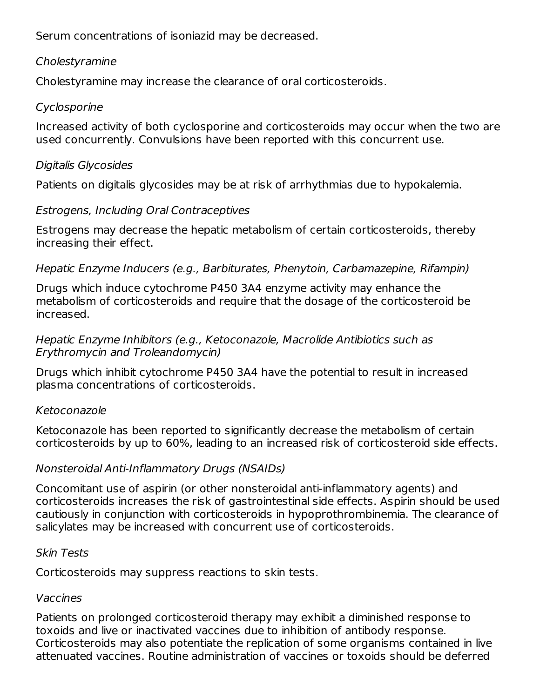Serum concentrations of isoniazid may be decreased.

#### Cholestyramine

Cholestyramine may increase the clearance of oral corticosteroids.

#### Cyclosporine

Increased activity of both cyclosporine and corticosteroids may occur when the two are used concurrently. Convulsions have been reported with this concurrent use.

#### Digitalis Glycosides

Patients on digitalis glycosides may be at risk of arrhythmias due to hypokalemia.

#### Estrogens, Including Oral Contraceptives

Estrogens may decrease the hepatic metabolism of certain corticosteroids, thereby increasing their effect.

#### Hepatic Enzyme Inducers (e.g., Barbiturates, Phenytoin, Carbamazepine, Rifampin)

Drugs which induce cytochrome P450 3A4 enzyme activity may enhance the metabolism of corticosteroids and require that the dosage of the corticosteroid be increased.

#### Hepatic Enzyme Inhibitors (e.g., Ketoconazole, Macrolide Antibiotics such as Erythromycin and Troleandomycin)

Drugs which inhibit cytochrome P450 3A4 have the potential to result in increased plasma concentrations of corticosteroids.

#### Ketoconazole

Ketoconazole has been reported to significantly decrease the metabolism of certain corticosteroids by up to 60%, leading to an increased risk of corticosteroid side effects.

#### Nonsteroidal Anti-Inflammatory Drugs (NSAIDs)

Concomitant use of aspirin (or other nonsteroidal anti-inflammatory agents) and corticosteroids increases the risk of gastrointestinal side effects. Aspirin should be used cautiously in conjunction with corticosteroids in hypoprothrombinemia. The clearance of salicylates may be increased with concurrent use of corticosteroids.

#### Skin Tests

Corticosteroids may suppress reactions to skin tests.

#### Vaccines

Patients on prolonged corticosteroid therapy may exhibit a diminished response to toxoids and live or inactivated vaccines due to inhibition of antibody response. Corticosteroids may also potentiate the replication of some organisms contained in live attenuated vaccines. Routine administration of vaccines or toxoids should be deferred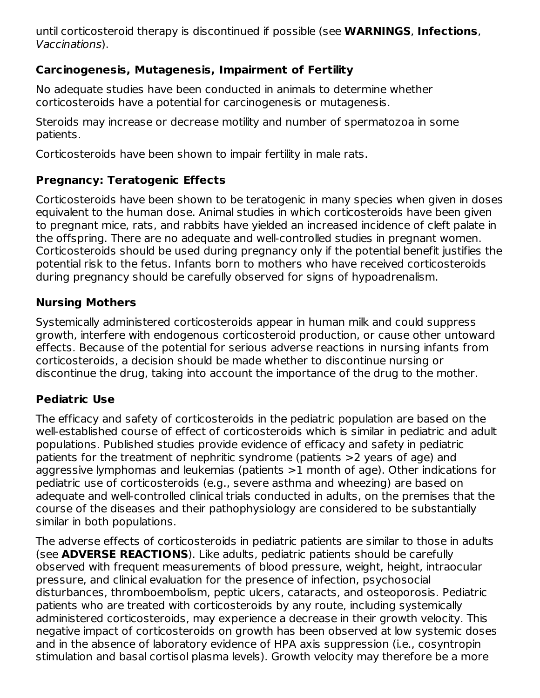until corticosteroid therapy is discontinued if possible (see **WARNINGS**, **Infections**, Vaccinations).

#### **Carcinogenesis, Mutagenesis, Impairment of Fertility**

No adequate studies have been conducted in animals to determine whether corticosteroids have a potential for carcinogenesis or mutagenesis.

Steroids may increase or decrease motility and number of spermatozoa in some patients.

Corticosteroids have been shown to impair fertility in male rats.

## **Pregnancy: Teratogenic Effects**

Corticosteroids have been shown to be teratogenic in many species when given in doses equivalent to the human dose. Animal studies in which corticosteroids have been given to pregnant mice, rats, and rabbits have yielded an increased incidence of cleft palate in the offspring. There are no adequate and well-controlled studies in pregnant women. Corticosteroids should be used during pregnancy only if the potential benefit justifies the potential risk to the fetus. Infants born to mothers who have received corticosteroids during pregnancy should be carefully observed for signs of hypoadrenalism.

## **Nursing Mothers**

Systemically administered corticosteroids appear in human milk and could suppress growth, interfere with endogenous corticosteroid production, or cause other untoward effects. Because of the potential for serious adverse reactions in nursing infants from corticosteroids, a decision should be made whether to discontinue nursing or discontinue the drug, taking into account the importance of the drug to the mother.

## **Pediatric Use**

The efficacy and safety of corticosteroids in the pediatric population are based on the well-established course of effect of corticosteroids which is similar in pediatric and adult populations. Published studies provide evidence of efficacy and safety in pediatric patients for the treatment of nephritic syndrome (patients >2 years of age) and aggressive lymphomas and leukemias (patients >1 month of age). Other indications for pediatric use of corticosteroids (e.g., severe asthma and wheezing) are based on adequate and well-controlled clinical trials conducted in adults, on the premises that the course of the diseases and their pathophysiology are considered to be substantially similar in both populations.

The adverse effects of corticosteroids in pediatric patients are similar to those in adults (see **ADVERSE REACTIONS**). Like adults, pediatric patients should be carefully observed with frequent measurements of blood pressure, weight, height, intraocular pressure, and clinical evaluation for the presence of infection, psychosocial disturbances, thromboembolism, peptic ulcers, cataracts, and osteoporosis. Pediatric patients who are treated with corticosteroids by any route, including systemically administered corticosteroids, may experience a decrease in their growth velocity. This negative impact of corticosteroids on growth has been observed at low systemic doses and in the absence of laboratory evidence of HPA axis suppression (i.e., cosyntropin stimulation and basal cortisol plasma levels). Growth velocity may therefore be a more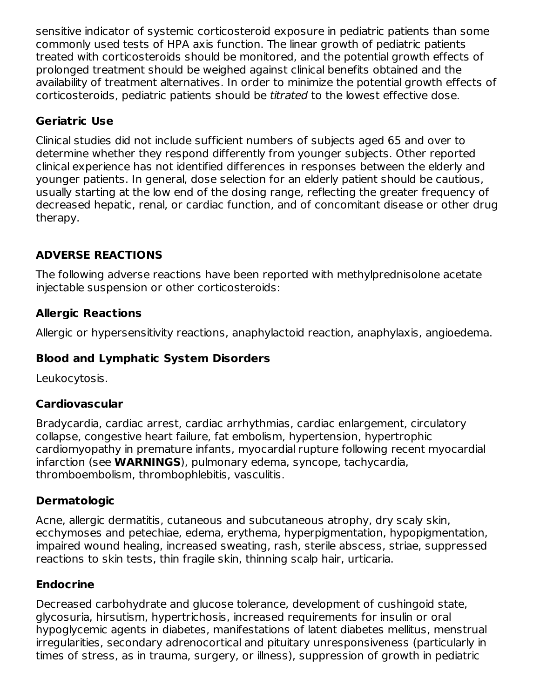sensitive indicator of systemic corticosteroid exposure in pediatric patients than some commonly used tests of HPA axis function. The linear growth of pediatric patients treated with corticosteroids should be monitored, and the potential growth effects of prolonged treatment should be weighed against clinical benefits obtained and the availability of treatment alternatives. In order to minimize the potential growth effects of corticosteroids, pediatric patients should be titrated to the lowest effective dose.

## **Geriatric Use**

Clinical studies did not include sufficient numbers of subjects aged 65 and over to determine whether they respond differently from younger subjects. Other reported clinical experience has not identified differences in responses between the elderly and younger patients. In general, dose selection for an elderly patient should be cautious, usually starting at the low end of the dosing range, reflecting the greater frequency of decreased hepatic, renal, or cardiac function, and of concomitant disease or other drug therapy.

## **ADVERSE REACTIONS**

The following adverse reactions have been reported with methylprednisolone acetate injectable suspension or other corticosteroids:

## **Allergic Reactions**

Allergic or hypersensitivity reactions, anaphylactoid reaction, anaphylaxis, angioedema.

## **Blood and Lymphatic System Disorders**

Leukocytosis.

#### **Cardiovascular**

Bradycardia, cardiac arrest, cardiac arrhythmias, cardiac enlargement, circulatory collapse, congestive heart failure, fat embolism, hypertension, hypertrophic cardiomyopathy in premature infants, myocardial rupture following recent myocardial infarction (see **WARNINGS**), pulmonary edema, syncope, tachycardia, thromboembolism, thrombophlebitis, vasculitis.

#### **Dermatologic**

Acne, allergic dermatitis, cutaneous and subcutaneous atrophy, dry scaly skin, ecchymoses and petechiae, edema, erythema, hyperpigmentation, hypopigmentation, impaired wound healing, increased sweating, rash, sterile abscess, striae, suppressed reactions to skin tests, thin fragile skin, thinning scalp hair, urticaria.

#### **Endocrine**

Decreased carbohydrate and glucose tolerance, development of cushingoid state, glycosuria, hirsutism, hypertrichosis, increased requirements for insulin or oral hypoglycemic agents in diabetes, manifestations of latent diabetes mellitus, menstrual irregularities, secondary adrenocortical and pituitary unresponsiveness (particularly in times of stress, as in trauma, surgery, or illness), suppression of growth in pediatric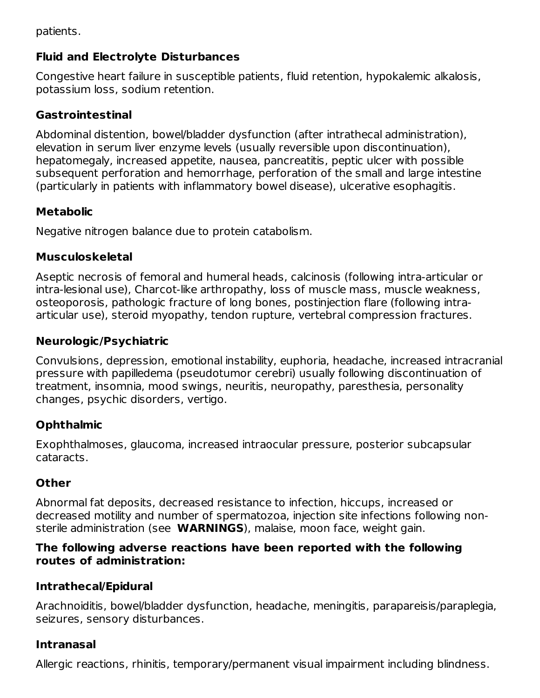patients.

## **Fluid and Electrolyte Disturbances**

Congestive heart failure in susceptible patients, fluid retention, hypokalemic alkalosis, potassium loss, sodium retention.

## **Gastrointestinal**

Abdominal distention, bowel/bladder dysfunction (after intrathecal administration), elevation in serum liver enzyme levels (usually reversible upon discontinuation), hepatomegaly, increased appetite, nausea, pancreatitis, peptic ulcer with possible subsequent perforation and hemorrhage, perforation of the small and large intestine (particularly in patients with inflammatory bowel disease), ulcerative esophagitis.

## **Metabolic**

Negative nitrogen balance due to protein catabolism.

## **Musculoskeletal**

Aseptic necrosis of femoral and humeral heads, calcinosis (following intra-articular or intra-lesional use), Charcot-like arthropathy, loss of muscle mass, muscle weakness, osteoporosis, pathologic fracture of long bones, postinjection flare (following intraarticular use), steroid myopathy, tendon rupture, vertebral compression fractures.

## **Neurologic/Psychiatric**

Convulsions, depression, emotional instability, euphoria, headache, increased intracranial pressure with papilledema (pseudotumor cerebri) usually following discontinuation of treatment, insomnia, mood swings, neuritis, neuropathy, paresthesia, personality changes, psychic disorders, vertigo.

## **Ophthalmic**

Exophthalmoses, glaucoma, increased intraocular pressure, posterior subcapsular cataracts.

## **Other**

Abnormal fat deposits, decreased resistance to infection, hiccups, increased or decreased motility and number of spermatozoa, injection site infections following nonsterile administration (see **WARNINGS**), malaise, moon face, weight gain.

#### **The following adverse reactions have been reported with the following routes of administration:**

## **Intrathecal/Epidural**

Arachnoiditis, bowel/bladder dysfunction, headache, meningitis, parapareisis/paraplegia, seizures, sensory disturbances.

## **Intranasal**

Allergic reactions, rhinitis, temporary/permanent visual impairment including blindness.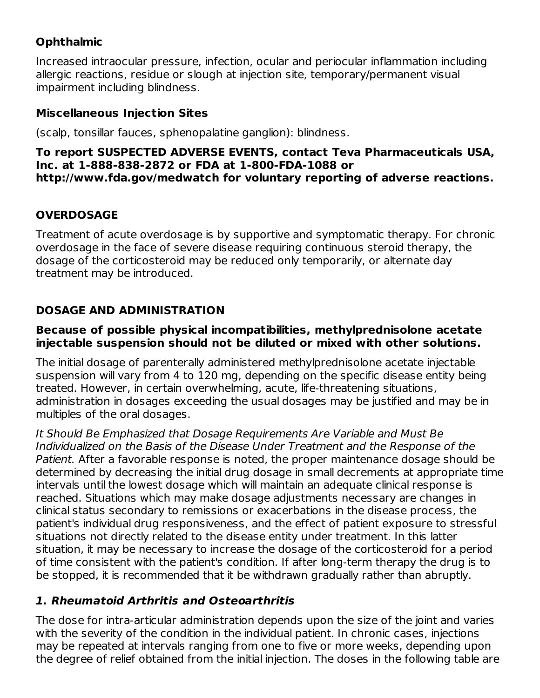## **Ophthalmic**

Increased intraocular pressure, infection, ocular and periocular inflammation including allergic reactions, residue or slough at injection site, temporary/permanent visual impairment including blindness.

#### **Miscellaneous Injection Sites**

(scalp, tonsillar fauces, sphenopalatine ganglion): blindness.

**To report SUSPECTED ADVERSE EVENTS, contact Teva Pharmaceuticals USA, Inc. at 1-888-838-2872 or FDA at 1-800-FDA-1088 or http://www.fda.gov/medwatch for voluntary reporting of adverse reactions.**

## **OVERDOSAGE**

Treatment of acute overdosage is by supportive and symptomatic therapy. For chronic overdosage in the face of severe disease requiring continuous steroid therapy, the dosage of the corticosteroid may be reduced only temporarily, or alternate day treatment may be introduced.

## **DOSAGE AND ADMINISTRATION**

#### **Because of possible physical incompatibilities, methylprednisolone acetate injectable suspension should not be diluted or mixed with other solutions.**

The initial dosage of parenterally administered methylprednisolone acetate injectable suspension will vary from 4 to 120 mg, depending on the specific disease entity being treated. However, in certain overwhelming, acute, life-threatening situations, administration in dosages exceeding the usual dosages may be justified and may be in multiples of the oral dosages.

It Should Be Emphasized that Dosage Requirements Are Variable and Must Be Individualized on the Basis of the Disease Under Treatment and the Response of the Patient. After a favorable response is noted, the proper maintenance dosage should be determined by decreasing the initial drug dosage in small decrements at appropriate time intervals until the lowest dosage which will maintain an adequate clinical response is reached. Situations which may make dosage adjustments necessary are changes in clinical status secondary to remissions or exacerbations in the disease process, the patient's individual drug responsiveness, and the effect of patient exposure to stressful situations not directly related to the disease entity under treatment. In this latter situation, it may be necessary to increase the dosage of the corticosteroid for a period of time consistent with the patient's condition. If after long-term therapy the drug is to be stopped, it is recommended that it be withdrawn gradually rather than abruptly.

## **1. Rheumatoid Arthritis and Osteoarthritis**

The dose for intra-articular administration depends upon the size of the joint and varies with the severity of the condition in the individual patient. In chronic cases, injections may be repeated at intervals ranging from one to five or more weeks, depending upon the degree of relief obtained from the initial injection. The doses in the following table are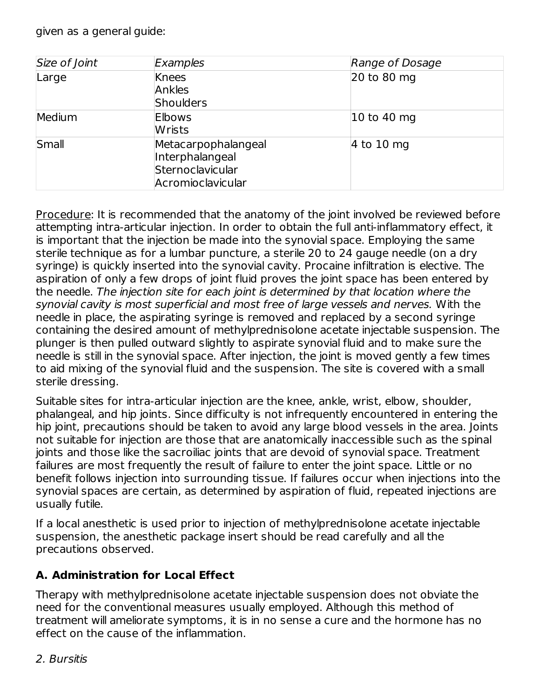given as a general guide:

| Size of Joint | Examples                                                                        | Range of Dosage                 |
|---------------|---------------------------------------------------------------------------------|---------------------------------|
| Large         | Knees<br><b>Ankles</b><br>Shoulders                                             | 20 to 80 mg                     |
| Medium        | Elbows<br>Wrists                                                                | 10 to 40 mg                     |
| Small         | Metacarpophalangeal<br>Interphalangeal<br>Sternoclavicular<br>Acromioclavicular | $ 4 \text{ to } 10 \text{ mg} $ |

Procedure: It is recommended that the anatomy of the joint involved be reviewed before attempting intra-articular injection. In order to obtain the full anti-inflammatory effect, it is important that the injection be made into the synovial space. Employing the same sterile technique as for a lumbar puncture, a sterile 20 to 24 gauge needle (on a dry syringe) is quickly inserted into the synovial cavity. Procaine infiltration is elective. The aspiration of only a few drops of joint fluid proves the joint space has been entered by the needle. The injection site for each joint is determined by that location where the synovial cavity is most superficial and most free of large vessels and nerves. With the needle in place, the aspirating syringe is removed and replaced by a second syringe containing the desired amount of methylprednisolone acetate injectable suspension. The plunger is then pulled outward slightly to aspirate synovial fluid and to make sure the needle is still in the synovial space. After injection, the joint is moved gently a few times to aid mixing of the synovial fluid and the suspension. The site is covered with a small sterile dressing.

Suitable sites for intra-articular injection are the knee, ankle, wrist, elbow, shoulder, phalangeal, and hip joints. Since difficulty is not infrequently encountered in entering the hip joint, precautions should be taken to avoid any large blood vessels in the area. Joints not suitable for injection are those that are anatomically inaccessible such as the spinal joints and those like the sacroiliac joints that are devoid of synovial space. Treatment failures are most frequently the result of failure to enter the joint space. Little or no benefit follows injection into surrounding tissue. If failures occur when injections into the synovial spaces are certain, as determined by aspiration of fluid, repeated injections are usually futile.

If a local anesthetic is used prior to injection of methylprednisolone acetate injectable suspension, the anesthetic package insert should be read carefully and all the precautions observed.

## **A. Administration for Local Effect**

Therapy with methylprednisolone acetate injectable suspension does not obviate the need for the conventional measures usually employed. Although this method of treatment will ameliorate symptoms, it is in no sense a cure and the hormone has no effect on the cause of the inflammation.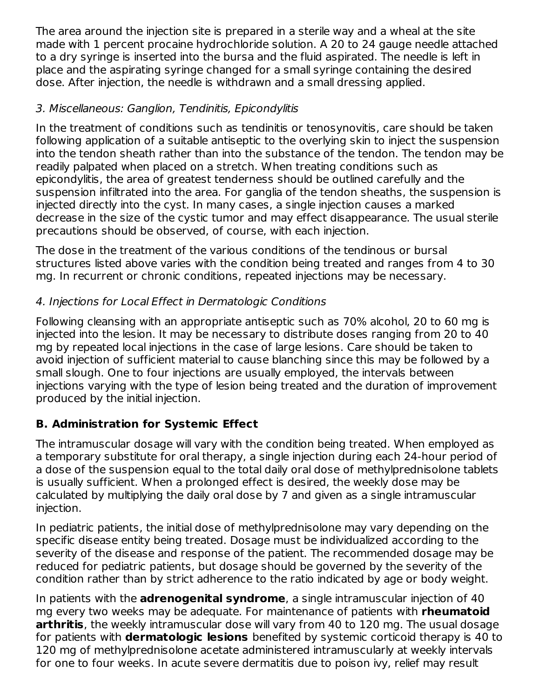The area around the injection site is prepared in a sterile way and a wheal at the site made with 1 percent procaine hydrochloride solution. A 20 to 24 gauge needle attached to a dry syringe is inserted into the bursa and the fluid aspirated. The needle is left in place and the aspirating syringe changed for a small syringe containing the desired dose. After injection, the needle is withdrawn and a small dressing applied.

## 3. Miscellaneous: Ganglion, Tendinitis, Epicondylitis

In the treatment of conditions such as tendinitis or tenosynovitis, care should be taken following application of a suitable antiseptic to the overlying skin to inject the suspension into the tendon sheath rather than into the substance of the tendon. The tendon may be readily palpated when placed on a stretch. When treating conditions such as epicondylitis, the area of greatest tenderness should be outlined carefully and the suspension infiltrated into the area. For ganglia of the tendon sheaths, the suspension is injected directly into the cyst. In many cases, a single injection causes a marked decrease in the size of the cystic tumor and may effect disappearance. The usual sterile precautions should be observed, of course, with each injection.

The dose in the treatment of the various conditions of the tendinous or bursal structures listed above varies with the condition being treated and ranges from 4 to 30 mg. In recurrent or chronic conditions, repeated injections may be necessary.

## 4. Injections for Local Effect in Dermatologic Conditions

Following cleansing with an appropriate antiseptic such as 70% alcohol, 20 to 60 mg is injected into the lesion. It may be necessary to distribute doses ranging from 20 to 40 mg by repeated local injections in the case of large lesions. Care should be taken to avoid injection of sufficient material to cause blanching since this may be followed by a small slough. One to four injections are usually employed, the intervals between injections varying with the type of lesion being treated and the duration of improvement produced by the initial injection.

## **B. Administration for Systemic Effect**

The intramuscular dosage will vary with the condition being treated. When employed as a temporary substitute for oral therapy, a single injection during each 24-hour period of a dose of the suspension equal to the total daily oral dose of methylprednisolone tablets is usually sufficient. When a prolonged effect is desired, the weekly dose may be calculated by multiplying the daily oral dose by 7 and given as a single intramuscular injection.

In pediatric patients, the initial dose of methylprednisolone may vary depending on the specific disease entity being treated. Dosage must be individualized according to the severity of the disease and response of the patient. The recommended dosage may be reduced for pediatric patients, but dosage should be governed by the severity of the condition rather than by strict adherence to the ratio indicated by age or body weight.

In patients with the **adrenogenital syndrome**, a single intramuscular injection of 40 mg every two weeks may be adequate. For maintenance of patients with **rheumatoid arthritis**, the weekly intramuscular dose will vary from 40 to 120 mg. The usual dosage for patients with **dermatologic lesions** benefited by systemic corticoid therapy is 40 to 120 mg of methylprednisolone acetate administered intramuscularly at weekly intervals for one to four weeks. In acute severe dermatitis due to poison ivy, relief may result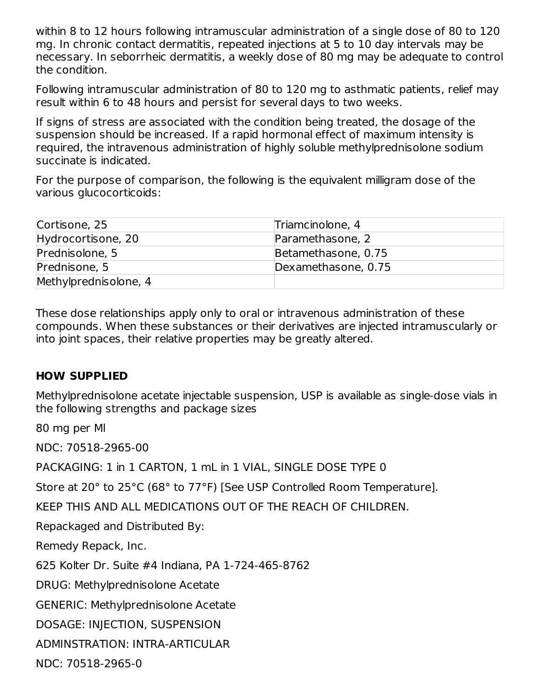within 8 to 12 hours following intramuscular administration of a single dose of 80 to 120 mg. In chronic contact dermatitis, repeated injections at 5 to 10 day intervals may be necessary. In seborrheic dermatitis, a weekly dose of 80 mg may be adequate to control the condition.

Following intramuscular administration of 80 to 120 mg to asthmatic patients, relief may result within 6 to 48 hours and persist for several days to two weeks.

If signs of stress are associated with the condition being treated, the dosage of the suspension should be increased. If a rapid hormonal effect of maximum intensity is required, the intravenous administration of highly soluble methylprednisolone sodium succinate is indicated.

For the purpose of comparison, the following is the equivalent milligram dose of the various glucocorticoids:

| Cortisone, 25         | Triamcinolone, 4    |
|-----------------------|---------------------|
| Hydrocortisone, 20    | Paramethasone, 2    |
| Prednisolone, 5       | Betamethasone, 0.75 |
| Prednisone, 5         | Dexamethasone, 0.75 |
| Methylprednisolone, 4 |                     |

These dose relationships apply only to oral or intravenous administration of these compounds. When these substances or their derivatives are injected intramuscularly or into joint spaces, their relative properties may be greatly altered.

#### **HOW SUPPLIED**

Methylprednisolone acetate injectable suspension, USP is available as single-dose vials in the following strengths and package sizes

80 mg per Ml

NDC: 70518-2965-00

PACKAGING: 1 in 1 CARTON, 1 mL in 1 VIAL, SINGLE DOSE TYPE 0

Store at 20° to 25°C (68° to 77°F) [See USP Controlled Room Temperature].

KEEP THIS AND ALL MEDICATIONS OUT OF THE REACH OF CHILDREN.

Repackaged and Distributed By:

Remedy Repack, Inc.

625 Kolter Dr. Suite #4 Indiana, PA 1-724-465-8762

DRUG: Methylprednisolone Acetate

GENERIC: Methylprednisolone Acetate

DOSAGE: INJECTION, SUSPENSION

ADMINSTRATION: INTRA-ARTICULAR

NDC: 70518-2965-0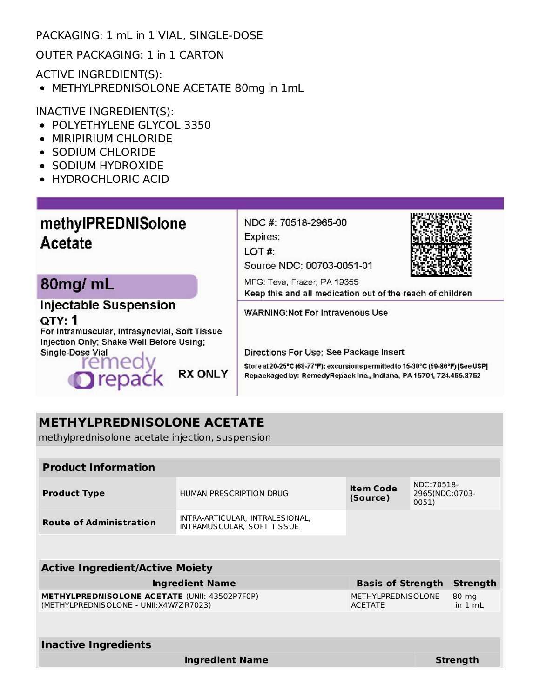PACKAGING: 1 mL in 1 VIAL, SINGLE-DOSE

OUTER PACKAGING: 1 in 1 CARTON

ACTIVE INGREDIENT(S):

METHYLPREDNISOLONE ACETATE 80mg in 1mL

## INACTIVE INGREDIENT(S):

- POLYETHYLENE GLYCOL 3350
- MIRIPIRIUM CHLORIDE
- SODIUM CHLORIDE

80mg/ mL

Single-Dose Vial

QTY: 1

- SODIUM HYDROXIDE
- HYDROCHLORIC ACID

# methylPREDNISolone Acetate

**Injectable Suspension** 

For Intramuscular, Intrasynovial, Soft Tissue Injection Only; Shake Well Before Using;

repack

NDC #: 70518-2965-00

Expires:

LOT#:

Source NDC: 00703-0051-01



MFG: Teva, Frazer, PA 19355 Keep this and all medication out of the reach of children

**WARNING: Not For Intravenous Use** 

Directions For Use: See Package Insert

Store at 20-25°C (68-77°F); excursions permitted to 15-30°C (59-86°F) [See USP] Repackaged by: RemedyRepack Inc., Indiana, PA 15701, 724.465.8762

## **METHYLPREDNISOLONE ACETATE**

**RX ONLY** 

methylprednisolone acetate injection, suspension

| <b>Product Information</b>                                                                       |                                                               |                                                                       |                    |                 |  |  |  |  |
|--------------------------------------------------------------------------------------------------|---------------------------------------------------------------|-----------------------------------------------------------------------|--------------------|-----------------|--|--|--|--|
| <b>Product Type</b>                                                                              | HUMAN PRESCRIPTION DRUG                                       | NDC:70518-<br><b>Item Code</b><br>2965(NDC:0703-<br>(Source)<br>0051) |                    |                 |  |  |  |  |
| <b>Route of Administration</b>                                                                   | INTRA-ARTICULAR, INTRALESIONAL,<br>INTRAMUSCULAR, SOFT TISSUE |                                                                       |                    |                 |  |  |  |  |
|                                                                                                  |                                                               |                                                                       |                    |                 |  |  |  |  |
| <b>Active Ingredient/Active Moiety</b>                                                           |                                                               |                                                                       |                    |                 |  |  |  |  |
| <b>Ingredient Name</b>                                                                           |                                                               | <b>Basis of Strength</b>                                              |                    | <b>Strength</b> |  |  |  |  |
| <b>METHYLPREDNISOLONE ACETATE (UNII: 43502P7F0P)</b><br>(METHYLPREDNISOLONE - UNII: X4W7Z R7023) | <b>METHYLPREDNISOLONE</b><br><b>ACETATE</b>                   |                                                                       | 80 mg<br>in $1 mL$ |                 |  |  |  |  |
|                                                                                                  |                                                               |                                                                       |                    |                 |  |  |  |  |
| <b>Inactive Ingredients</b>                                                                      |                                                               |                                                                       |                    |                 |  |  |  |  |
|                                                                                                  | <b>Ingredient Name</b>                                        |                                                                       |                    | Strength        |  |  |  |  |